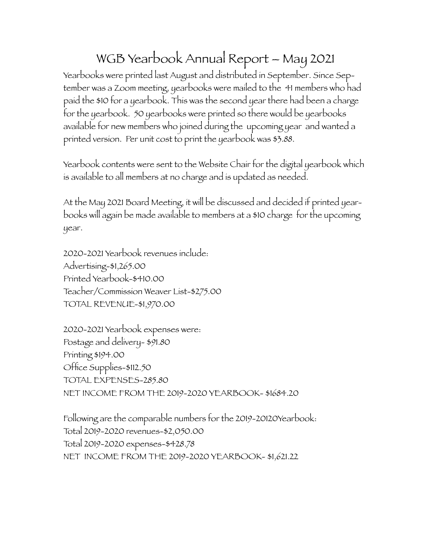## WGB Yearbook Annual Report – May 2021

Yearbooks were printed last August and distributed in September. Since September was a Zoom meeting, yearbooks were mailed to the 41 members who had paid the \$10 for a yearbook. This was the second year there had been a charge for the yearbook. 50 yearbooks were printed so there would be yearbooks available for new members who joined during the upcoming year and wanted a printed version. Per unit cost to print the yearbook was \$3.88.

Yearbook contents were sent to the Website Chair for the digital yearbook which is available to all members at no charge and is updated as needed.

At the May 2021 Board Meeting, it will be discussed and decided if printed yearbooks will again be made available to members at a \$10 charge for the upcoming year.

2020-2021 Yearbook revenues include: Advertising-\$1,265.00 Printed Yearbook-\$410.00 Teacher/Commission Weaver List-\$275.00 TOTAL REVENUE-\$1,970.00

2020-2021 Yearbook expenses were: Postage and delivery- \$91.80 Printing \$194.00 Office Supplies-\$112.50 TOTAL EXPENSES-285.80 NET INCOME FROM THE 2019-2020 YEARBOOK- \$1684.20

Following are the comparable numbers for the 2019-20120Yearbook: Total 2019-2020 revenues-\$2,050.00 Total 2019-2020 expenses-\$428.78 NET INCOME FROM THE 2019-2020 YEARBOOK- \$1,621.22